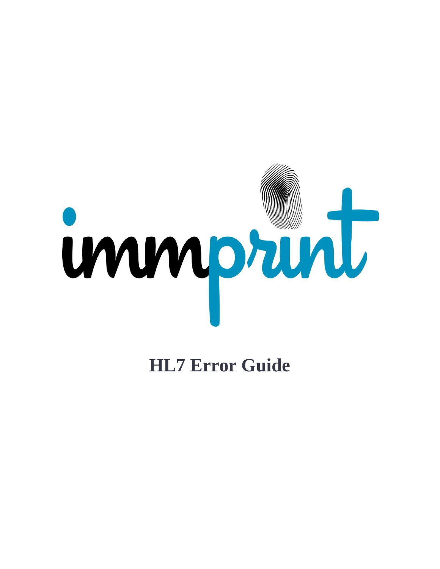

**HL7 Error Guide**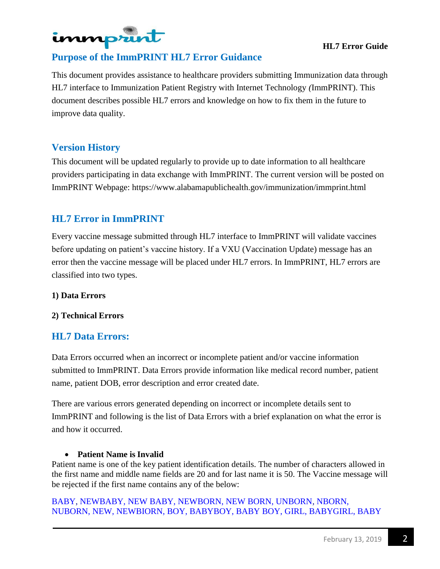

## **HL7 Error Guide**

# **Purpose of the ImmPRINT HL7 Error Guidance**

This document provides assistance to healthcare providers submitting Immunization data through HL7 interface to Immunization Patient Registry with Internet Technology *(*ImmPRINT). This document describes possible HL7 errors and knowledge on how to fix them in the future to improve data quality.

# **Version History**

This document will be updated regularly to provide up to date information to all healthcare providers participating in data exchange with ImmPRINT. The current version will be posted on ImmPRINT Webpage: https:/[/www.alabamapublichealth.gov/immunization/immprint.html](http://www.alabamapublichealth.gov/immunization/immprint.html)

# **HL7 Error in ImmPRINT**

Every vaccine message submitted through HL7 interface to ImmPRINT will validate vaccines before updating on patient's vaccine history. If a VXU (Vaccination Update) message has an error then the vaccine message will be placed under HL7 errors. In ImmPRINT, HL7 errors are classified into two types.

#### **1) Data Errors**

#### **2) Technical Errors**

# **HL7 Data Errors:**

Data Errors occurred when an incorrect or incomplete patient and/or vaccine information submitted to ImmPRINT. Data Errors provide information like medical record number, patient name, patient DOB, error description and error created date.

There are various errors generated depending on incorrect or incomplete details sent to ImmPRINT and following is the list of Data Errors with a brief explanation on what the error is and how it occurred.

#### **Patient Name is Invalid**

Patient name is one of the key patient identification details. The number of characters allowed in the first name and middle name fields are 20 and for last name it is 50. The Vaccine message will be rejected if the first name contains any of the below:

BABY, NEWBABY, NEW BABY, NEWBORN, NEW BORN, UNBORN, NBORN, NUBORN, NEW, NEWBIORN, BOY, BABYBOY, BABY BOY, GIRL, BABYGIRL, BABY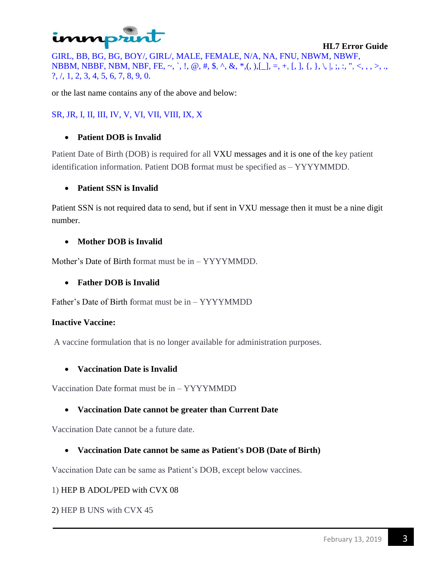# immpru

GIRL, BB, BG, BG, BOY/, GIRL/, MALE, FEMALE, N/A, NA, FNU, NBWM, NBWF, NBBM, NBBF, NBM, NBF, FE, ~, `, !, @, #, \$, ^, &, \*,(, ),[\_], =, +, [, ], {, }, \, |, ;, :, ", <, ,, >, .,  $?$ ,  $/$ ,  $1$ ,  $2$ ,  $3$ ,  $4$ ,  $5$ ,  $6$ ,  $7$ ,  $8$ ,  $9$ ,  $0$ .

or the last name contains any of the above and below:

## SR, JR, I, II, III, IV, V, VI, VII, VIII, IX, X

## **Patient DOB is Invalid**

Patient Date of Birth (DOB) is required for all VXU messages and it is one of the key patient identification information. Patient DOB format must be specified as – YYYYMMDD.

## **Patient SSN is Invalid**

Patient SSN is not required data to send, but if sent in VXU message then it must be a nine digit number.

## **Mother DOB is Invalid**

Mother's Date of Birth format must be in – YYYYMMDD.

## **Father DOB is Invalid**

Father's Date of Birth format must be in – YYYYMMDD

#### **Inactive Vaccine:**

A vaccine formulation that is no longer available for administration purposes.

#### **Vaccination Date is Invalid**

Vaccination Date format must be in – YYYYMMDD

## **Vaccination Date cannot be greater than Current Date**

Vaccination Date cannot be a future date.

## **Vaccination Date cannot be same as Patient's DOB (Date of Birth)**

Vaccination Date can be same as Patient's DOB, except below vaccines.

#### 1) HEP B ADOL/PED with CVX 08

2) HEP B UNS with CVX 45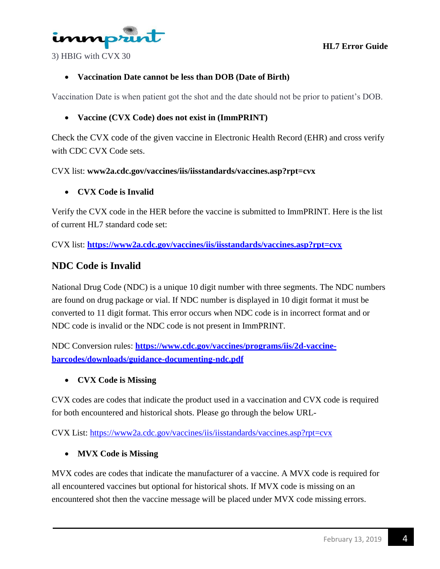**HL7 Error Guide**



3) HBIG with CVX 30

# **Vaccination Date cannot be less than DOB (Date of Birth)**

Vaccination Date is when patient got the shot and the date should not be prior to patient's DOB.

## **Vaccine (CVX Code) does not exist in (ImmPRINT)**

Check the CVX code of the given vaccine in Electronic Health Record (EHR) and cross verify with CDC CVX Code sets.

CVX list: **www2a.cdc.gov/vaccines/iis/iisstandards/vaccines.asp?rpt=cvx**

## **CVX Code is Invalid**

Verify the CVX code in the HER before the vaccine is submitted to ImmPRINT. Here is the list of current HL7 standard code set:

CVX list: **<https://www2a.cdc.gov/vaccines/iis/iisstandards/vaccines.asp?rpt=cvx>**

# **NDC Code is Invalid**

National Drug Code (NDC) is a unique 10 digit number with three segments. The NDC numbers are found on drug package or vial. If NDC number is displayed in 10 digit format it must be converted to 11 digit format. This error occurs when NDC code is in incorrect format and or NDC code is invalid or the NDC code is not present in ImmPRINT.

NDC Conversion rules: **[https://www.cdc.gov/vaccines/programs/iis/2d-vaccine](https://www.cdc.gov/vaccines/programs/iis/2d-vaccine-barcodes/downloads/guidance-documenting-ndc.pdf)[barcodes/downloads/guidance-documenting-ndc.pdf](https://www.cdc.gov/vaccines/programs/iis/2d-vaccine-barcodes/downloads/guidance-documenting-ndc.pdf)**

## **CVX Code is Missing**

CVX codes are codes that indicate the product used in a vaccination and CVX code is required for both encountered and historical shots. Please go through the below URL-

CVX List:<https://www2a.cdc.gov/vaccines/iis/iisstandards/vaccines.asp?rpt=cvx>

## **MVX Code is Missing**

MVX codes are codes that indicate the manufacturer of a vaccine. A MVX code is required for all encountered vaccines but optional for historical shots. If MVX code is missing on an encountered shot then the vaccine message will be placed under MVX code missing errors.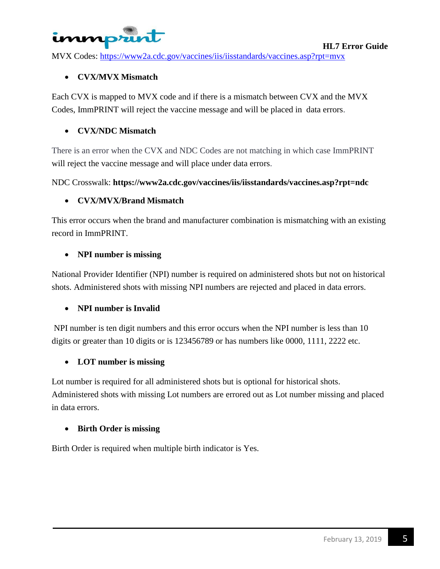# inmprunt

MVX Codes:<https://www2a.cdc.gov/vaccines/iis/iisstandards/vaccines.asp?rpt=mvx>

## **CVX/MVX Mismatch**

Each CVX is mapped to MVX code and if there is a mismatch between CVX and the MVX Codes, ImmPRINT will reject the vaccine message and will be placed in data errors.

## **CVX/NDC Mismatch**

There is an error when the CVX and NDC Codes are not matching in which case ImmPRINT will reject the vaccine message and will place under data errors.

NDC Crosswalk: **https://www2a.cdc.gov/vaccines/iis/iisstandards/vaccines.asp?rpt=ndc**

## **CVX/MVX/Brand Mismatch**

This error occurs when the brand and manufacturer combination is mismatching with an existing record in ImmPRINT.

## **NPI number is missing**

National Provider Identifier (NPI) number is required on administered shots but not on historical shots. Administered shots with missing NPI numbers are rejected and placed in data errors.

## **NPI number is Invalid**

NPI number is ten digit numbers and this error occurs when the NPI number is less than 10 digits or greater than 10 digits or is 123456789 or has numbers like 0000, 1111, 2222 etc.

## **LOT number is missing**

Lot number is required for all administered shots but is optional for historical shots. Administered shots with missing Lot numbers are errored out as Lot number missing and placed in data errors.

## **Birth Order is missing**

Birth Order is required when multiple birth indicator is Yes.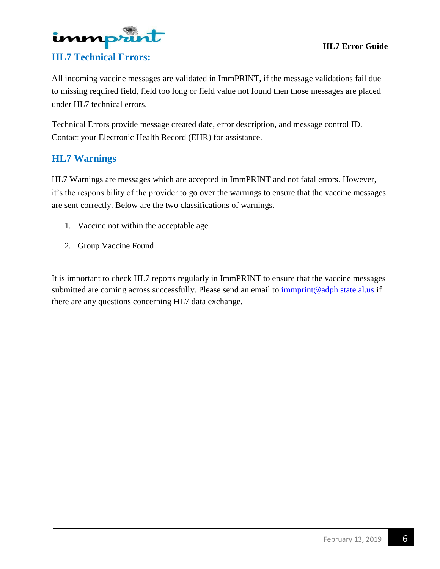



All incoming vaccine messages are validated in ImmPRINT, if the message validations fail due to missing required field, field too long or field value not found then those messages are placed under HL7 technical errors.

Technical Errors provide message created date, error description, and message control ID. Contact your Electronic Health Record (EHR) for assistance.

# **HL7 Warnings**

HL7 Warnings are messages which are accepted in ImmPRINT and not fatal errors. However, it's the responsibility of the provider to go over the warnings to ensure that the vaccine messages are sent correctly. Below are the two classifications of warnings.

- 1. Vaccine not within the acceptable age
- 2. Group Vaccine Found

It is important to check HL7 reports regularly in ImmPRINT to ensure that the vaccine messages submitted are coming across successfully. Please send an email to [immprint@adph.state.al.us i](mailto:immprint@adph.state.al.us)f there are any questions concerning HL7 data exchange.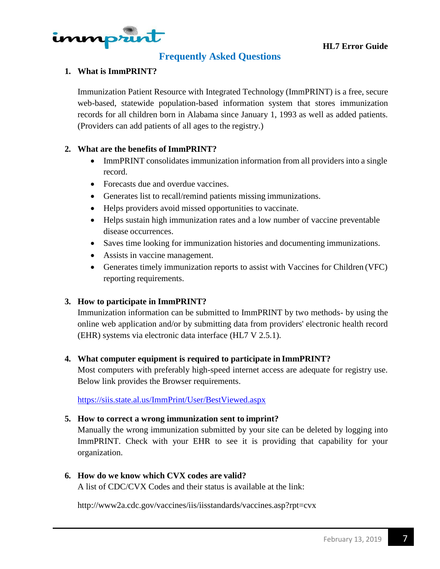

# **Frequently Asked Questions**

## **1. What is ImmPRINT?**

Immunization Patient Resource with Integrated Technology (ImmPRINT) is a free, secure web-based, statewide population-based information system that stores immunization records for all children born in Alabama since January 1, 1993 as well as added patients. (Providers can add patients of all ages to the registry.)

#### **2. What are the benefits of ImmPRINT?**

- ImmPRINT consolidates immunization information from all providers into a single record.
- Forecasts due and overdue vaccines.
- Generates list to recall/remind patients missing immunizations.
- Helps providers avoid missed opportunities to vaccinate.
- Helps sustain high immunization rates and a low number of vaccine preventable disease occurrences.
- Saves time looking for immunization histories and documenting immunizations.
- Assists in vaccine management.
- Generates timely immunization reports to assist with Vaccines for Children (VFC) reporting requirements.

#### **3. How to participate in ImmPRINT?**

Immunization information can be submitted to ImmPRINT by two methods- by using the online web application and/or by submitting data from providers' electronic health record (EHR) systems via electronic data interface (HL7 V 2.5.1).

#### **4. What computer equipment is required to participate in ImmPRINT?**

Most computers with preferably high-speed internet access are adequate for registry use. Below link provides the Browser requirements.

<https://siis.state.al.us/ImmPrint/User/BestViewed.aspx>

#### **5. How to correct a wrong immunization sent to imprint?**

Manually the wrong immunization submitted by your site can be deleted by logging into ImmPRINT. Check with your EHR to see it is providing that capability for your organization.

#### **6. How do we know which CVX codes are valid?**

A list of CDC/CVX Codes and their status is available at the link:

<http://www2a.cdc.gov/vaccines/iis/iisstandards/vaccines.asp?rpt=cvx>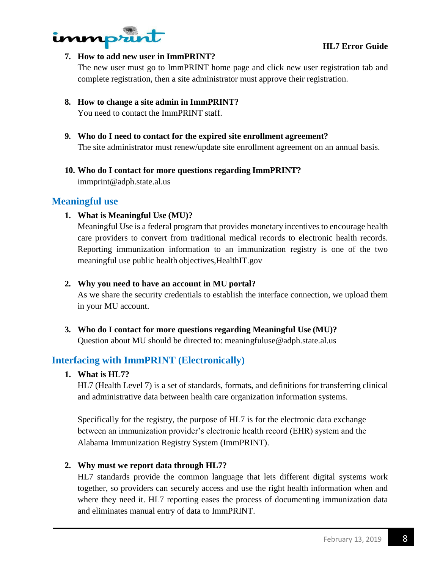



#### **7. How to add new user in ImmPRINT?**

The new user must go to ImmPRINT home page and click new user registration tab and complete registration, then a site administrator must approve their registration.

# **8. How to change a site admin in ImmPRINT?**

You need to contact the ImmPRINT staff.

- **9. Who do I need to contact for the expired site enrollment agreement?** The site administrator must renew/update site enrollment agreement on an annual basis.
- **10. Who do I contact for more questions regarding ImmPRINT?** [immprint@adph.state.al.us](mailto:immprint@adph.state.al.us)

## **Meaningful use**

## **1. What is Meaningful Use (MU)?**

Meaningful Use is a federal program that provides monetary incentives to encourage health care providers to convert from traditional medical records to electronic health records. Reporting immunization information to an immunization registry is one of the two meaningful use public health objectives,HealthIT.gov

#### **2. Why you need to have an account in MU portal?**

As we share the security credentials to establish the interface connection, we upload them in your MU account.

**3. Who do I contact for more questions regarding Meaningful Use (MU)?** Question about MU should be dire[cted to: meaningfuluse@adph.state.al.us](mailto:meaningfuluse@adph.state.al.us)

# **Interfacing with ImmPRINT (Electronically)**

## **1. What is HL7?**

HL7 (Health Level 7) is a set of standards, formats, and definitions for transferring clinical and administrative data between health care organization information systems.

Specifically for the registry, the purpose of HL7 is for the electronic data exchange between an immunization provider's electronic health record (EHR) system and the Alabama Immunization Registry System (ImmPRINT).

## **2. Why must we report data through HL7?**

HL7 standards provide the common language that lets different digital systems work together, so providers can securely access and use the right health information when and where they need it. HL7 reporting eases the process of documenting immunization data and eliminates manual entry of data to ImmPRINT.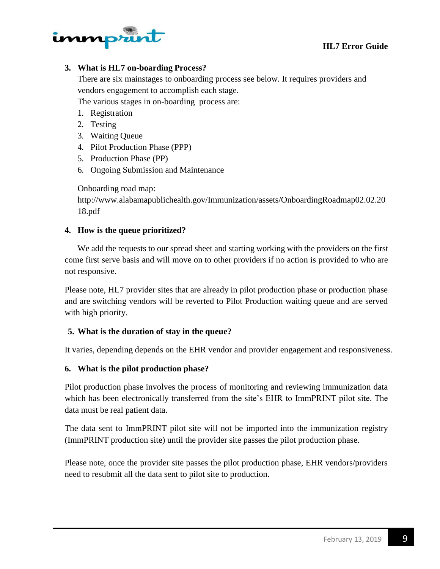

## **3. What is HL7 on-boarding Process?**

There are six mainstages to onboarding process see below. It requires providers and vendors engagement to accomplish each stage.

The various stages in on-boarding process are:

- 1. Registration
- 2. Testing
- 3. Waiting Queue
- 4. Pilot Production Phase (PPP)
- 5. Production Phase (PP)
- 6. Ongoing Submission and Maintenance

Onboarding road map:

<http://www.alabamapublichealth.gov/Immunization/assets/OnboardingRoadmap02.02.20> 18.pdf

## **4. How is the queue prioritized?**

We add the requests to our spread sheet and starting working with the providers on the first come first serve basis and will move on to other providers if no action is provided to who are not responsive.

Please note, HL7 provider sites that are already in pilot production phase or production phase and are switching vendors will be reverted to Pilot Production waiting queue and are served with high priority.

## **5. What is the duration of stay in the queue?**

It varies, depending depends on the EHR vendor and provider engagement and responsiveness.

#### **6. What is the pilot production phase?**

Pilot production phase involves the process of monitoring and reviewing immunization data which has been electronically transferred from the site's EHR to ImmPRINT pilot site. The data must be real patient data.

The data sent to ImmPRINT pilot site will not be imported into the immunization registry (ImmPRINT production site) until the provider site passes the pilot production phase.

Please note, once the provider site passes the pilot production phase, EHR vendors/providers need to resubmit all the data sent to pilot site to production.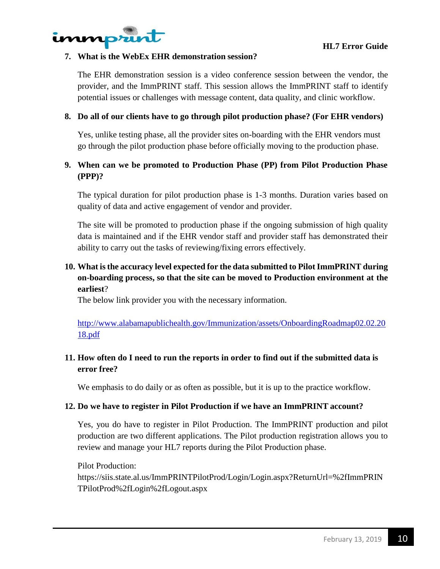

#### **7. What is the WebEx EHR demonstration session?**

The EHR demonstration session is a video conference session between the vendor, the provider, and the ImmPRINT staff. This session allows the ImmPRINT staff to identify potential issues or challenges with message content, data quality, and clinic workflow.

#### **8. Do all of our clients have to go through pilot production phase? (For EHR vendors)**

Yes, unlike testing phase, all the provider sites on-boarding with the EHR vendors must go through the pilot production phase before officially moving to the production phase.

# **9. When can we be promoted to Production Phase (PP) from Pilot Production Phase (PPP)?**

The typical duration for pilot production phase is 1-3 months. Duration varies based on quality of data and active engagement of vendor and provider.

The site will be promoted to production phase if the ongoing submission of high quality data is maintained and if the EHR vendor staff and provider staff has demonstrated their ability to carry out the tasks of reviewing/fixing errors effectively.

# **10. What is the accuracy level expected for the data submitted to Pilot ImmPRINT during on-boarding process, so that the site can be moved to Production environment at the earliest**?

The below link provider you with the necessary information.

[http://www.alabamapublichealth.gov/Immunization/assets/OnboardingRoadmap02.02.20](http://www.alabamapublichealth.gov/Immunization/assets/OnboardingRoadmap02.02.2018.pdf) [18.pdf](http://www.alabamapublichealth.gov/Immunization/assets/OnboardingRoadmap02.02.2018.pdf)

# **11. How often do I need to run the reports in order to find out if the submitted data is error free?**

We emphasis to do daily or as often as possible, but it is up to the practice workflow.

#### **12. Do we have to register in Pilot Production if we have an ImmPRINT account?**

Yes, you do have to register in Pilot Production. The ImmPRINT production and pilot production are two different applications. The Pilot production registration allows you to review and manage your HL7 reports during the Pilot Production phase.

Pilot Production:

https://siis.state.al.us/ImmPRINTPilotProd/Login/Login.aspx?ReturnUrl=%2fImmPRIN TPilotProd%2fLogin%2fLogout.aspx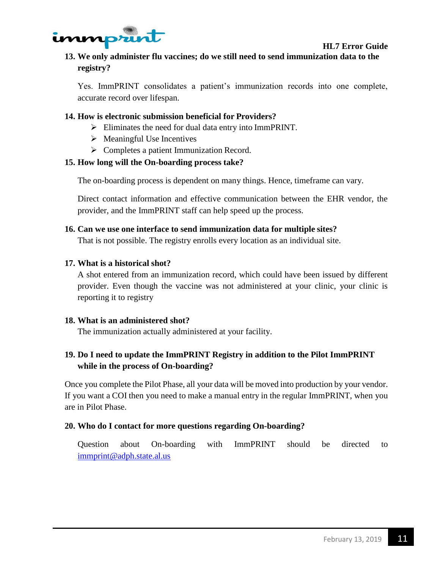

# **13. We only administer flu vaccines; do we still need to send immunization data to the registry?**

Yes. ImmPRINT consolidates a patient's immunization records into one complete, accurate record over lifespan.

## **14. How is electronic submission beneficial for Providers?**

- $\triangleright$  Eliminates the need for dual data entry into ImmPRINT.
- $\triangleright$  Meaningful Use Incentives
- $\triangleright$  Completes a patient Immunization Record.

## **15. How long will the On-boarding process take?**

The on-boarding process is dependent on many things. Hence, timeframe can vary.

Direct contact information and effective communication between the EHR vendor, the provider, and the ImmPRINT staff can help speed up the process.

## **16. Can we use one interface to send immunization data for multiple sites?**

That is not possible. The registry enrolls every location as an individual site.

## **17. What is a historical shot?**

A shot entered from an immunization record, which could have been issued by different provider. Even though the vaccine was not administered at your clinic, your clinic is reporting it to registry

#### **18. What is an administered shot?**

The immunization actually administered at your facility.

# **19. Do I need to update the ImmPRINT Registry in addition to the Pilot ImmPRINT while in the process of On-boarding?**

Once you complete the Pilot Phase, all your data will be moved into production by your vendor. If you want a COI then you need to make a manual entry in the regular ImmPRINT, when you are in Pilot Phase.

#### **20. Who do I contact for more questions regarding On-boarding?**

Question about On-boarding with ImmPRINT should be directed to [immprint@adph.state.al.us](mailto:immprint@adph.state.al.us)